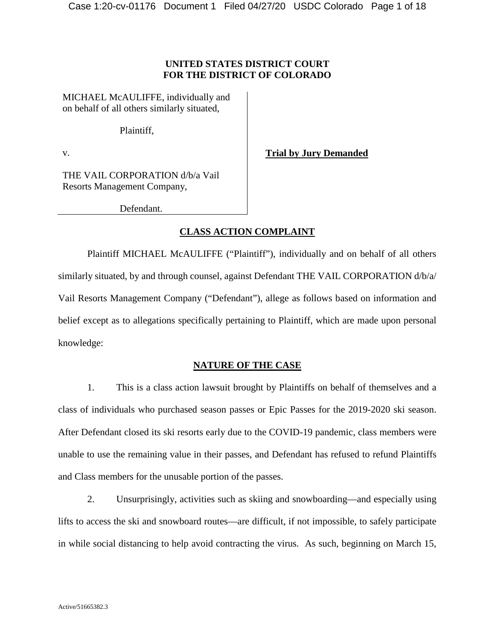### **UNITED STATES DISTRICT COURT FOR THE DISTRICT OF COLORADO**

MICHAEL McAULIFFE, individually and on behalf of all others similarly situated,

Plaintiff,

v.

**Trial by Jury Demanded**

THE VAIL CORPORATION d/b/a Vail Resorts Management Company,

Defendant.

### **CLASS ACTION COMPLAINT**

Plaintiff MICHAEL McAULIFFE ("Plaintiff"), individually and on behalf of all others similarly situated, by and through counsel, against Defendant THE VAIL CORPORATION d/b/a/ Vail Resorts Management Company ("Defendant"), allege as follows based on information and belief except as to allegations specifically pertaining to Plaintiff, which are made upon personal knowledge:

### **NATURE OF THE CASE**

1. This is a class action lawsuit brought by Plaintiffs on behalf of themselves and a class of individuals who purchased season passes or Epic Passes for the 2019-2020 ski season. After Defendant closed its ski resorts early due to the COVID-19 pandemic, class members were unable to use the remaining value in their passes, and Defendant has refused to refund Plaintiffs and Class members for the unusable portion of the passes.

2. Unsurprisingly, activities such as skiing and snowboarding—and especially using lifts to access the ski and snowboard routes—are difficult, if not impossible, to safely participate in while social distancing to help avoid contracting the virus. As such, beginning on March 15,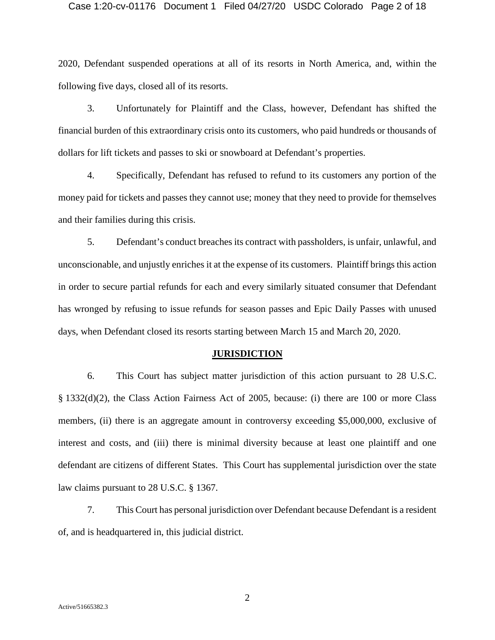#### Case 1:20-cv-01176 Document 1 Filed 04/27/20 USDC Colorado Page 2 of 18

2020, Defendant suspended operations at all of its resorts in North America, and, within the following five days, closed all of its resorts.

3. Unfortunately for Plaintiff and the Class, however, Defendant has shifted the financial burden of this extraordinary crisis onto its customers, who paid hundreds or thousands of dollars for lift tickets and passes to ski or snowboard at Defendant's properties.

4. Specifically, Defendant has refused to refund to its customers any portion of the money paid for tickets and passes they cannot use; money that they need to provide for themselves and their families during this crisis.

5. Defendant's conduct breaches its contract with passholders, is unfair, unlawful, and unconscionable, and unjustly enriches it at the expense of its customers. Plaintiff brings this action in order to secure partial refunds for each and every similarly situated consumer that Defendant has wronged by refusing to issue refunds for season passes and Epic Daily Passes with unused days, when Defendant closed its resorts starting between March 15 and March 20, 2020.

#### **JURISDICTION**

6. This Court has subject matter jurisdiction of this action pursuant to 28 U.S.C. § 1332(d)(2), the Class Action Fairness Act of 2005, because: (i) there are 100 or more Class members, (ii) there is an aggregate amount in controversy exceeding \$5,000,000, exclusive of interest and costs, and (iii) there is minimal diversity because at least one plaintiff and one defendant are citizens of different States. This Court has supplemental jurisdiction over the state law claims pursuant to 28 U.S.C. § 1367.

7. This Court has personal jurisdiction over Defendant because Defendant is a resident of, and is headquartered in, this judicial district.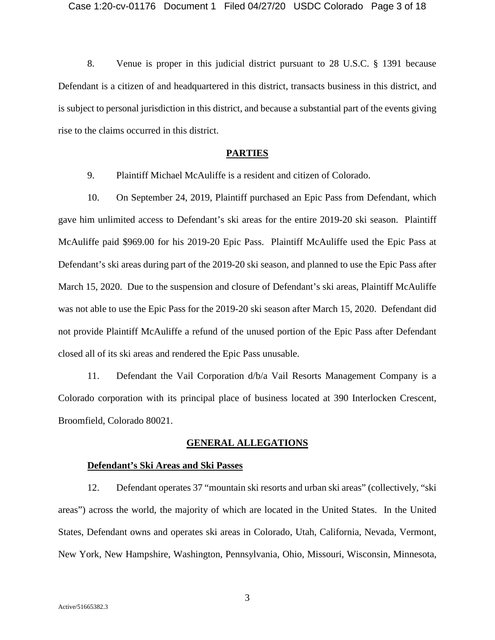8. Venue is proper in this judicial district pursuant to 28 U.S.C. § 1391 because Defendant is a citizen of and headquartered in this district, transacts business in this district, and is subject to personal jurisdiction in this district, and because a substantial part of the events giving rise to the claims occurred in this district.

### **PARTIES**

9. Plaintiff Michael McAuliffe is a resident and citizen of Colorado.

10. On September 24, 2019, Plaintiff purchased an Epic Pass from Defendant, which gave him unlimited access to Defendant's ski areas for the entire 2019-20 ski season. Plaintiff McAuliffe paid \$969.00 for his 2019-20 Epic Pass. Plaintiff McAuliffe used the Epic Pass at Defendant's ski areas during part of the 2019-20 ski season, and planned to use the Epic Pass after March 15, 2020. Due to the suspension and closure of Defendant's ski areas, Plaintiff McAuliffe was not able to use the Epic Pass for the 2019-20 ski season after March 15, 2020. Defendant did not provide Plaintiff McAuliffe a refund of the unused portion of the Epic Pass after Defendant closed all of its ski areas and rendered the Epic Pass unusable.

11. Defendant the Vail Corporation d/b/a Vail Resorts Management Company is a Colorado corporation with its principal place of business located at 390 Interlocken Crescent, Broomfield, Colorado 80021.

#### **GENERAL ALLEGATIONS**

#### **Defendant's Ski Areas and Ski Passes**

12. Defendant operates 37 "mountain ski resorts and urban ski areas" (collectively, "ski areas") across the world, the majority of which are located in the United States. In the United States, Defendant owns and operates ski areas in Colorado, Utah, California, Nevada, Vermont, New York, New Hampshire, Washington, Pennsylvania, Ohio, Missouri, Wisconsin, Minnesota,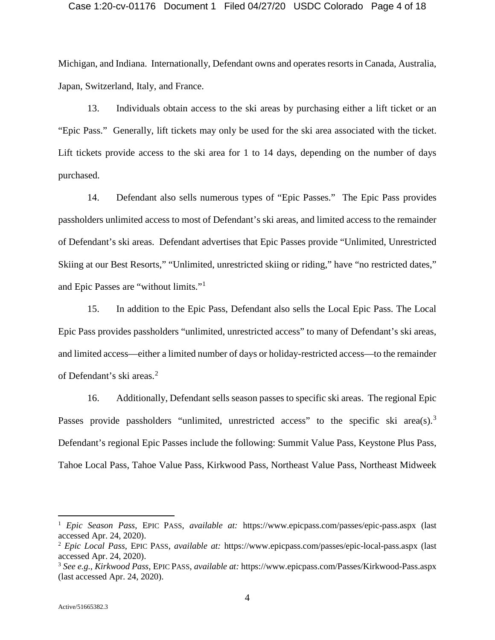#### Case 1:20-cv-01176 Document 1 Filed 04/27/20 USDC Colorado Page 4 of 18

Michigan, and Indiana. Internationally, Defendant owns and operates resorts in Canada, Australia, Japan, Switzerland, Italy, and France.

13. Individuals obtain access to the ski areas by purchasing either a lift ticket or an "Epic Pass." Generally, lift tickets may only be used for the ski area associated with the ticket. Lift tickets provide access to the ski area for 1 to 14 days, depending on the number of days purchased.

14. Defendant also sells numerous types of "Epic Passes." The Epic Pass provides passholders unlimited access to most of Defendant's ski areas, and limited access to the remainder of Defendant's ski areas. Defendant advertises that Epic Passes provide "Unlimited, Unrestricted Skiing at our Best Resorts," "Unlimited, unrestricted skiing or riding," have "no restricted dates," and Epic Passes are "without limits."[1](#page-3-0)

15. In addition to the Epic Pass, Defendant also sells the Local Epic Pass. The Local Epic Pass provides passholders "unlimited, unrestricted access" to many of Defendant's ski areas, and limited access—either a limited number of days or holiday-restricted access—to the remainder of Defendant's ski areas. [2](#page-3-1)

16. Additionally, Defendant sells season passes to specific ski areas. The regional Epic Passes provide passholders "unlimited, unrestricted access" to the specific ski area(s).<sup>[3](#page-3-2)</sup> Defendant's regional Epic Passes include the following: Summit Value Pass, Keystone Plus Pass, Tahoe Local Pass, Tahoe Value Pass, Kirkwood Pass, Northeast Value Pass, Northeast Midweek

<span id="page-3-0"></span> <sup>1</sup> *Epic Season Pass*, EPIC PASS, *available at:* https://www.epicpass.com/passes/epic-pass.aspx (last accessed Apr. 24, 2020).

<span id="page-3-1"></span><sup>2</sup> *Epic Local Pass*, EPIC PASS, *available at:* https://www.epicpass.com/passes/epic-local-pass.aspx (last accessed Apr. 24, 2020).

<span id="page-3-2"></span><sup>3</sup> *See e.g.*, *Kirkwood Pass*, EPIC PASS, *available at:* https://www.epicpass.com/Passes/Kirkwood-Pass.aspx (last accessed Apr. 24, 2020).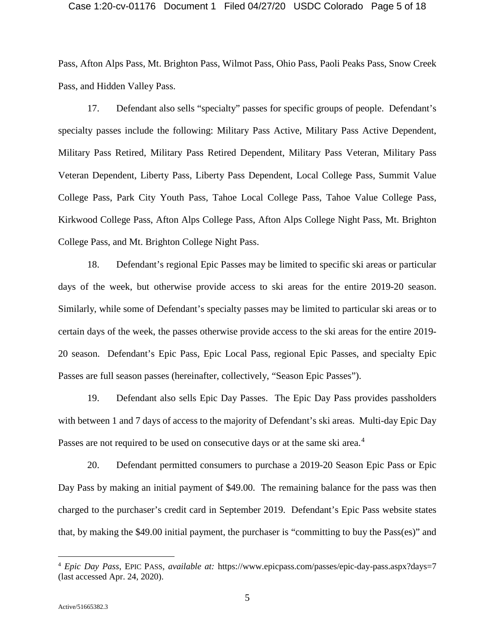#### Case 1:20-cv-01176 Document 1 Filed 04/27/20 USDC Colorado Page 5 of 18

Pass, Afton Alps Pass, Mt. Brighton Pass, Wilmot Pass, Ohio Pass, Paoli Peaks Pass, Snow Creek Pass, and Hidden Valley Pass.

17. Defendant also sells "specialty" passes for specific groups of people. Defendant's specialty passes include the following: Military Pass Active, Military Pass Active Dependent, Military Pass Retired, Military Pass Retired Dependent, Military Pass Veteran, Military Pass Veteran Dependent, Liberty Pass, Liberty Pass Dependent, Local College Pass, Summit Value College Pass, Park City Youth Pass, Tahoe Local College Pass, Tahoe Value College Pass, Kirkwood College Pass, Afton Alps College Pass, Afton Alps College Night Pass, Mt. Brighton College Pass, and Mt. Brighton College Night Pass.

18. Defendant's regional Epic Passes may be limited to specific ski areas or particular days of the week, but otherwise provide access to ski areas for the entire 2019-20 season. Similarly, while some of Defendant's specialty passes may be limited to particular ski areas or to certain days of the week, the passes otherwise provide access to the ski areas for the entire 2019- 20 season. Defendant's Epic Pass, Epic Local Pass, regional Epic Passes, and specialty Epic Passes are full season passes (hereinafter, collectively, "Season Epic Passes").

19. Defendant also sells Epic Day Passes. The Epic Day Pass provides passholders with between 1 and 7 days of access to the majority of Defendant's ski areas. Multi-day Epic Day Passes are not required to be used on consecutive days or at the same ski area.<sup>[4](#page-4-0)</sup>

20. Defendant permitted consumers to purchase a 2019-20 Season Epic Pass or Epic Day Pass by making an initial payment of \$49.00. The remaining balance for the pass was then charged to the purchaser's credit card in September 2019. Defendant's Epic Pass website states that, by making the \$49.00 initial payment, the purchaser is "committing to buy the Pass(es)" and

<span id="page-4-0"></span> <sup>4</sup> *Epic Day Pass*, EPIC PASS, *available at:* https://www.epicpass.com/passes/epic-day-pass.aspx?days=7 (last accessed Apr. 24, 2020).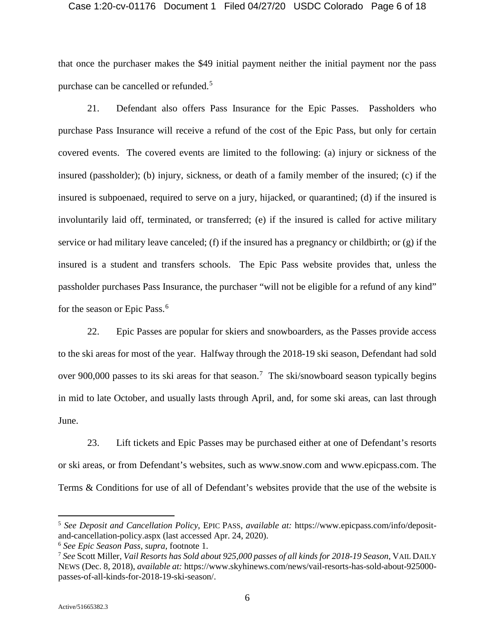#### Case 1:20-cv-01176 Document 1 Filed 04/27/20 USDC Colorado Page 6 of 18

that once the purchaser makes the \$49 initial payment neither the initial payment nor the pass purchase can be cancelled or refunded.<sup>[5](#page-5-0)</sup>

21. Defendant also offers Pass Insurance for the Epic Passes. Passholders who purchase Pass Insurance will receive a refund of the cost of the Epic Pass, but only for certain covered events. The covered events are limited to the following: (a) injury or sickness of the insured (passholder); (b) injury, sickness, or death of a family member of the insured; (c) if the insured is subpoenaed, required to serve on a jury, hijacked, or quarantined; (d) if the insured is involuntarily laid off, terminated, or transferred; (e) if the insured is called for active military service or had military leave canceled; (f) if the insured has a pregnancy or childbirth; or (g) if the insured is a student and transfers schools. The Epic Pass website provides that, unless the passholder purchases Pass Insurance, the purchaser "will not be eligible for a refund of any kind" for the season or Epic Pass.<sup>[6](#page-5-1)</sup>

22. Epic Passes are popular for skiers and snowboarders, as the Passes provide access to the ski areas for most of the year. Halfway through the 2018-19 ski season, Defendant had sold over 900,000 passes to its ski areas for that season.<sup>[7](#page-5-2)</sup> The ski/snowboard season typically begins in mid to late October, and usually lasts through April, and, for some ski areas, can last through June.

23. Lift tickets and Epic Passes may be purchased either at one of Defendant's resorts or ski areas, or from Defendant's websites, such as www.snow.com and www.epicpass.com. The Terms & Conditions for use of all of Defendant's websites provide that the use of the website is

<span id="page-5-0"></span> <sup>5</sup> *See Deposit and Cancellation Policy*, EPIC PASS, *available at:* https://www.epicpass.com/info/depositand-cancellation-policy.aspx (last accessed Apr. 24, 2020).

<span id="page-5-1"></span><sup>6</sup> *See Epic Season Pass*, *supra*, footnote 1.

<span id="page-5-2"></span><sup>7</sup> *See* Scott Miller, *Vail Resorts has Sold about 925,000 passes of all kinds for 2018-19 Season*, VAIL DAILY NEWS (Dec. 8, 2018), *available at:* https://www.skyhinews.com/news/vail-resorts-has-sold-about-925000 passes-of-all-kinds-for-2018-19-ski-season/.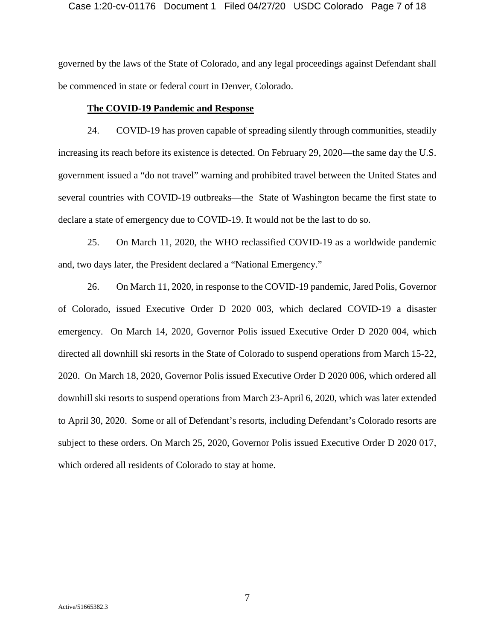#### Case 1:20-cv-01176 Document 1 Filed 04/27/20 USDC Colorado Page 7 of 18

governed by the laws of the State of Colorado, and any legal proceedings against Defendant shall be commenced in state or federal court in Denver, Colorado.

### **The COVID-19 Pandemic and Response**

24. COVID-19 has proven capable of spreading silently through communities, steadily increasing its reach before its existence is detected. On February 29, 2020—the same day the U.S. government issued a "do not travel" warning and prohibited travel between the United States and several countries with COVID-19 outbreaks—the State of Washington became the first state to declare a state of emergency due to COVID-19. It would not be the last to do so.

25. On March 11, 2020, the WHO reclassified COVID-19 as a worldwide pandemic and, two days later, the President declared a "National Emergency."

26. On March 11, 2020, in response to the COVID-19 pandemic, Jared Polis, Governor of Colorado, issued Executive Order D 2020 003, which declared COVID-19 a disaster emergency. On March 14, 2020, Governor Polis issued Executive Order D 2020 004, which directed all downhill ski resorts in the State of Colorado to suspend operations from March 15-22, 2020. On March 18, 2020, Governor Polis issued Executive Order D 2020 006, which ordered all downhill ski resorts to suspend operations from March 23-April 6, 2020, which was later extended to April 30, 2020. Some or all of Defendant's resorts, including Defendant's Colorado resorts are subject to these orders. On March 25, 2020, Governor Polis issued Executive Order D 2020 017, which ordered all residents of Colorado to stay at home.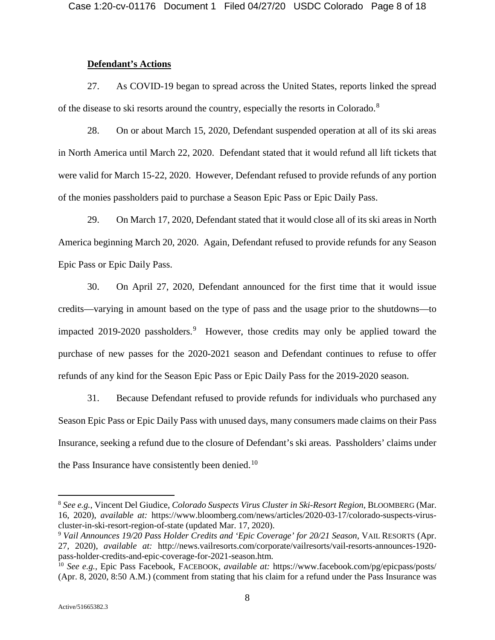### **Defendant's Actions**

27. As COVID-19 began to spread across the United States, reports linked the spread of the disease to ski resorts around the country, especially the resorts in Colorado.<sup>[8](#page-7-0)</sup>

28. On or about March 15, 2020, Defendant suspended operation at all of its ski areas in North America until March 22, 2020. Defendant stated that it would refund all lift tickets that were valid for March 15-22, 2020. However, Defendant refused to provide refunds of any portion of the monies passholders paid to purchase a Season Epic Pass or Epic Daily Pass.

29. On March 17, 2020, Defendant stated that it would close all of its ski areas in North America beginning March 20, 2020. Again, Defendant refused to provide refunds for any Season Epic Pass or Epic Daily Pass.

30. On April 27, 2020, Defendant announced for the first time that it would issue credits—varying in amount based on the type of pass and the usage prior to the shutdowns—to impacted 201[9](#page-7-1)-2020 passholders.<sup>9</sup> However, those credits may only be applied toward the purchase of new passes for the 2020-2021 season and Defendant continues to refuse to offer refunds of any kind for the Season Epic Pass or Epic Daily Pass for the 2019-2020 season.

31. Because Defendant refused to provide refunds for individuals who purchased any Season Epic Pass or Epic Daily Pass with unused days, many consumers made claims on their Pass Insurance, seeking a refund due to the closure of Defendant's ski areas. Passholders' claims under the Pass Insurance have consistently been denied.<sup>[10](#page-7-2)</sup>

<span id="page-7-0"></span> <sup>8</sup> *See e.g.*, Vincent Del Giudice, *Colorado Suspects Virus Cluster in Ski-Resort Region*, BLOOMBERG (Mar. 16, 2020), *available at:* https://www.bloomberg.com/news/articles/2020-03-17/colorado-suspects-viruscluster-in-ski-resort-region-of-state (updated Mar. 17, 2020).

<span id="page-7-1"></span><sup>9</sup> *Vail Announces 19/20 Pass Holder Credits and 'Epic Coverage' for 20/21 Season*, VAIL RESORTS (Apr. 27, 2020), *available at:* http://news.vailresorts.com/corporate/vailresorts/vail-resorts-announces-1920 pass-holder-credits-and-epic-coverage-for-2021-season.htm.

<span id="page-7-2"></span><sup>10</sup> *See e.g.*, Epic Pass Facebook, FACEBOOK, *available at:* https://www.facebook.com/pg/epicpass/posts/ (Apr. 8, 2020, 8:50 A.M.) (comment from stating that his claim for a refund under the Pass Insurance was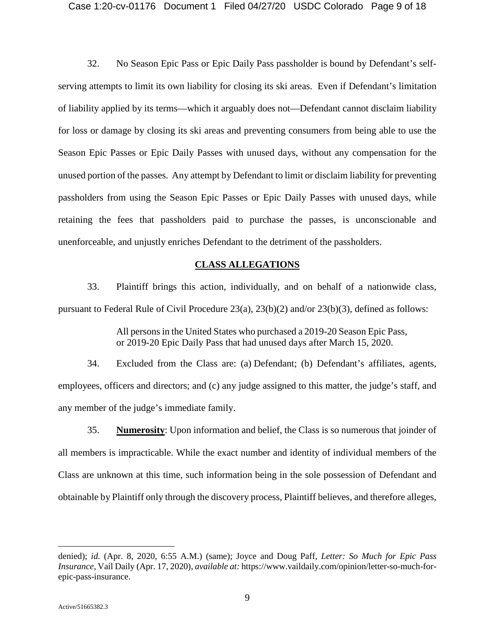32. No Season Epic Pass or Epic Daily Pass passholder is bound by Defendant's selfserving attempts to limit its own liability for closing its ski areas. Even if Defendant's limitation of liability applied by its terms—which it arguably does not—Defendant cannot disclaim liability for loss or damage by closing its ski areas and preventing consumers from being able to use the Season Epic Passes or Epic Daily Passes with unused days, without any compensation for the unused portion of the passes. Any attempt by Defendant to limit or disclaim liability for preventing passholders from using the Season Epic Passes or Epic Daily Passes with unused days, while retaining the fees that passholders paid to purchase the passes, is unconscionable and unenforceable, and unjustly enriches Defendant to the detriment of the passholders.

### **CLASS ALLEGATIONS**

33. Plaintiff brings this action, individually, and on behalf of a nationwide class, pursuant to Federal Rule of Civil Procedure 23(a), 23(b)(2) and/or 23(b)(3), defined as follows:

> All persons in the United States who purchased a 2019-20 Season Epic Pass, or 2019-20 Epic Daily Pass that had unused days after March 15, 2020.

34. Excluded from the Class are: (a) Defendant; (b) Defendant's affiliates, agents, employees, officers and directors; and (c) any judge assigned to this matter, the judge's staff, and any member of the judge's immediate family.

35. **Numerosity**: Upon information and belief, the Class is so numerous that joinder of all members is impracticable. While the exact number and identity of individual members of the Class are unknown at this time, such information being in the sole possession of Defendant and obtainable by Plaintiff only through the discovery process, Plaintiff believes, and therefore alleges,

 $\overline{a}$ 

denied); *id.* (Apr. 8, 2020, 6:55 A.M.) (same); Joyce and Doug Paff, *Letter: So Much for Epic Pass Insurance*, Vail Daily (Apr. 17, 2020), *available at:* https://www.vaildaily.com/opinion/letter-so-much-forepic-pass-insurance.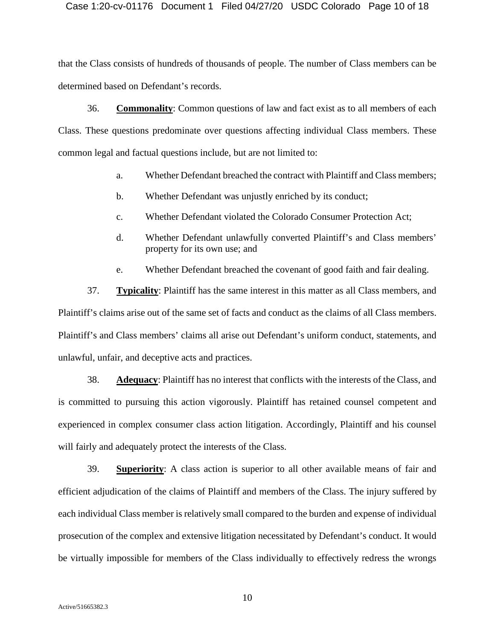Case 1:20-cv-01176 Document 1 Filed 04/27/20 USDC Colorado Page 10 of 18

that the Class consists of hundreds of thousands of people. The number of Class members can be determined based on Defendant's records.

36. **Commonality**: Common questions of law and fact exist as to all members of each Class. These questions predominate over questions affecting individual Class members. These common legal and factual questions include, but are not limited to:

- a. Whether Defendant breached the contract with Plaintiff and Class members;
- b. Whether Defendant was unjustly enriched by its conduct;
- c. Whether Defendant violated the Colorado Consumer Protection Act;
- d. Whether Defendant unlawfully converted Plaintiff's and Class members' property for its own use; and
- e. Whether Defendant breached the covenant of good faith and fair dealing.

37. **Typicality**: Plaintiff has the same interest in this matter as all Class members, and Plaintiff's claims arise out of the same set of facts and conduct as the claims of all Class members. Plaintiff's and Class members' claims all arise out Defendant's uniform conduct, statements, and unlawful, unfair, and deceptive acts and practices.

38. **Adequacy**: Plaintiff has no interest that conflicts with the interests of the Class, and is committed to pursuing this action vigorously. Plaintiff has retained counsel competent and experienced in complex consumer class action litigation. Accordingly, Plaintiff and his counsel will fairly and adequately protect the interests of the Class.

39. **Superiority**: A class action is superior to all other available means of fair and efficient adjudication of the claims of Plaintiff and members of the Class. The injury suffered by each individual Class member is relatively small compared to the burden and expense of individual prosecution of the complex and extensive litigation necessitated by Defendant's conduct. It would be virtually impossible for members of the Class individually to effectively redress the wrongs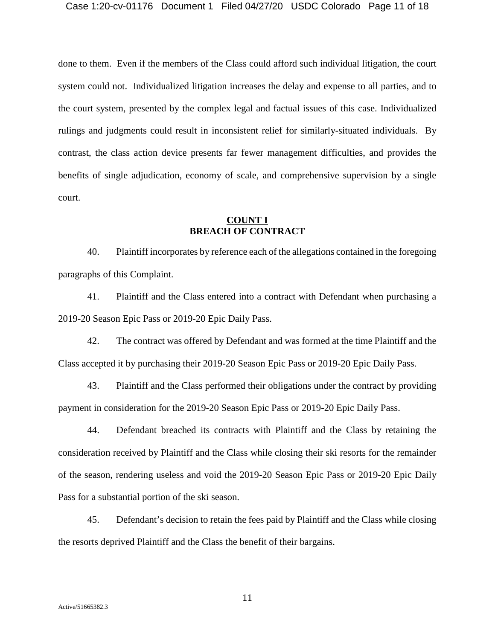done to them. Even if the members of the Class could afford such individual litigation, the court system could not. Individualized litigation increases the delay and expense to all parties, and to the court system, presented by the complex legal and factual issues of this case. Individualized rulings and judgments could result in inconsistent relief for similarly-situated individuals. By contrast, the class action device presents far fewer management difficulties, and provides the benefits of single adjudication, economy of scale, and comprehensive supervision by a single court.

### **COUNT I BREACH OF CONTRACT**

40. Plaintiff incorporates by reference each of the allegations contained in the foregoing paragraphs of this Complaint.

41. Plaintiff and the Class entered into a contract with Defendant when purchasing a 2019-20 Season Epic Pass or 2019-20 Epic Daily Pass.

42. The contract was offered by Defendant and was formed at the time Plaintiff and the Class accepted it by purchasing their 2019-20 Season Epic Pass or 2019-20 Epic Daily Pass.

43. Plaintiff and the Class performed their obligations under the contract by providing payment in consideration for the 2019-20 Season Epic Pass or 2019-20 Epic Daily Pass.

44. Defendant breached its contracts with Plaintiff and the Class by retaining the consideration received by Plaintiff and the Class while closing their ski resorts for the remainder of the season, rendering useless and void the 2019-20 Season Epic Pass or 2019-20 Epic Daily Pass for a substantial portion of the ski season.

45. Defendant's decision to retain the fees paid by Plaintiff and the Class while closing the resorts deprived Plaintiff and the Class the benefit of their bargains.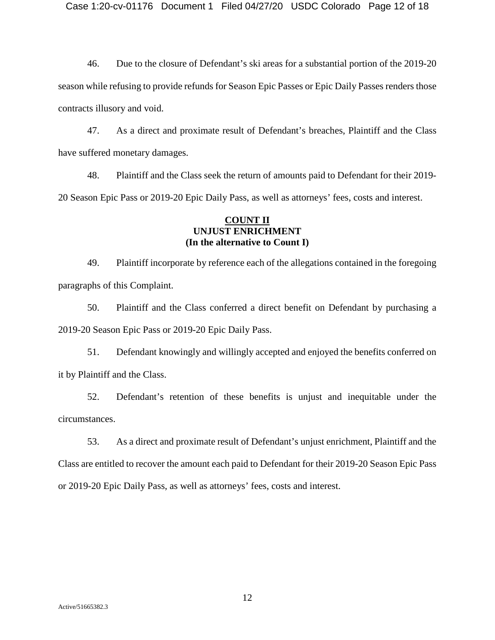46. Due to the closure of Defendant's ski areas for a substantial portion of the 2019-20 season while refusing to provide refunds for Season Epic Passes or Epic Daily Passes renders those contracts illusory and void.

47. As a direct and proximate result of Defendant's breaches, Plaintiff and the Class have suffered monetary damages.

48. Plaintiff and the Class seek the return of amounts paid to Defendant for their 2019- 20 Season Epic Pass or 2019-20 Epic Daily Pass, as well as attorneys' fees, costs and interest.

### **COUNT II UNJUST ENRICHMENT (In the alternative to Count I)**

49. Plaintiff incorporate by reference each of the allegations contained in the foregoing paragraphs of this Complaint.

50. Plaintiff and the Class conferred a direct benefit on Defendant by purchasing a 2019-20 Season Epic Pass or 2019-20 Epic Daily Pass.

51. Defendant knowingly and willingly accepted and enjoyed the benefits conferred on it by Plaintiff and the Class.

52. Defendant's retention of these benefits is unjust and inequitable under the circumstances.

53. As a direct and proximate result of Defendant's unjust enrichment, Plaintiff and the Class are entitled to recover the amount each paid to Defendant for their 2019-20 Season Epic Pass or 2019-20 Epic Daily Pass, as well as attorneys' fees, costs and interest.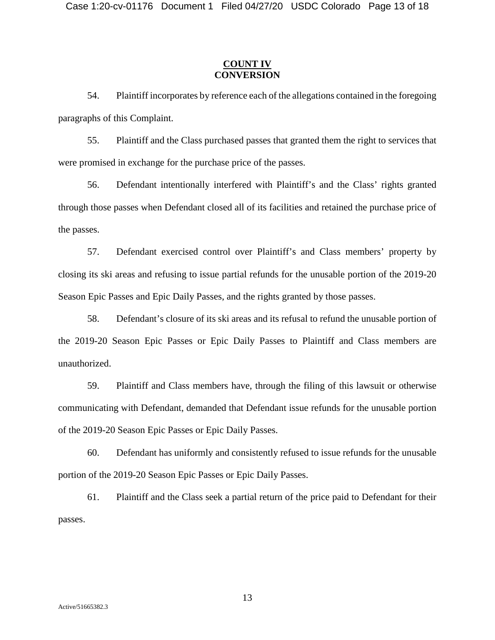### **COUNT IV CONVERSION**

54. Plaintiff incorporates by reference each of the allegations contained in the foregoing paragraphs of this Complaint.

55. Plaintiff and the Class purchased passes that granted them the right to services that were promised in exchange for the purchase price of the passes.

56. Defendant intentionally interfered with Plaintiff's and the Class' rights granted through those passes when Defendant closed all of its facilities and retained the purchase price of the passes.

57. Defendant exercised control over Plaintiff's and Class members' property by closing its ski areas and refusing to issue partial refunds for the unusable portion of the 2019-20 Season Epic Passes and Epic Daily Passes, and the rights granted by those passes.

58. Defendant's closure of its ski areas and its refusal to refund the unusable portion of the 2019-20 Season Epic Passes or Epic Daily Passes to Plaintiff and Class members are unauthorized.

59. Plaintiff and Class members have, through the filing of this lawsuit or otherwise communicating with Defendant, demanded that Defendant issue refunds for the unusable portion of the 2019-20 Season Epic Passes or Epic Daily Passes.

60. Defendant has uniformly and consistently refused to issue refunds for the unusable portion of the 2019-20 Season Epic Passes or Epic Daily Passes.

61. Plaintiff and the Class seek a partial return of the price paid to Defendant for their passes.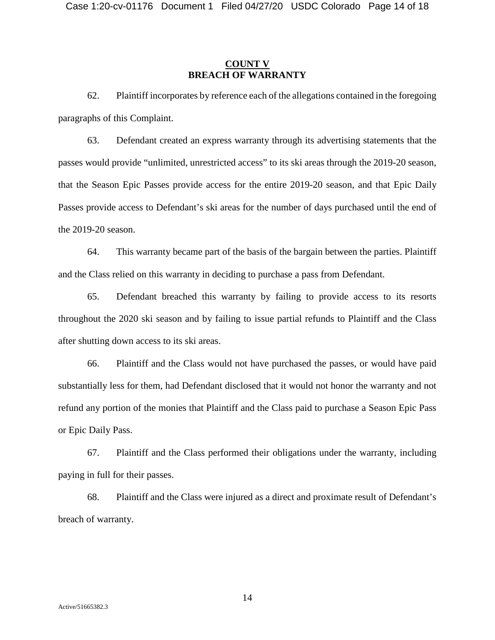### **COUNT V BREACH OF WARRANTY**

62. Plaintiff incorporates by reference each of the allegations contained in the foregoing paragraphs of this Complaint.

63. Defendant created an express warranty through its advertising statements that the passes would provide "unlimited, unrestricted access" to its ski areas through the 2019-20 season, that the Season Epic Passes provide access for the entire 2019-20 season, and that Epic Daily Passes provide access to Defendant's ski areas for the number of days purchased until the end of the 2019-20 season.

64. This warranty became part of the basis of the bargain between the parties. Plaintiff and the Class relied on this warranty in deciding to purchase a pass from Defendant.

65. Defendant breached this warranty by failing to provide access to its resorts throughout the 2020 ski season and by failing to issue partial refunds to Plaintiff and the Class after shutting down access to its ski areas.

66. Plaintiff and the Class would not have purchased the passes, or would have paid substantially less for them, had Defendant disclosed that it would not honor the warranty and not refund any portion of the monies that Plaintiff and the Class paid to purchase a Season Epic Pass or Epic Daily Pass.

67. Plaintiff and the Class performed their obligations under the warranty, including paying in full for their passes.

68. Plaintiff and the Class were injured as a direct and proximate result of Defendant's breach of warranty.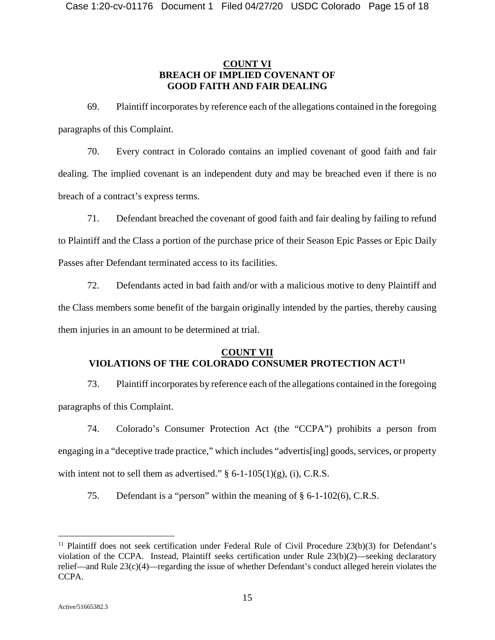### **COUNT VI BREACH OF IMPLIED COVENANT OF GOOD FAITH AND FAIR DEALING**

69. Plaintiff incorporates by reference each of the allegations contained in the foregoing paragraphs of this Complaint.

70. Every contract in Colorado contains an implied covenant of good faith and fair dealing. The implied covenant is an independent duty and may be breached even if there is no breach of a contract's express terms.

71. Defendant breached the covenant of good faith and fair dealing by failing to refund to Plaintiff and the Class a portion of the purchase price of their Season Epic Passes or Epic Daily Passes after Defendant terminated access to its facilities.

72. Defendants acted in bad faith and/or with a malicious motive to deny Plaintiff and the Class members some benefit of the bargain originally intended by the parties, thereby causing them injuries in an amount to be determined at trial.

### **COUNT VII VIOLATIONS OF THE COLORADO CONSUMER PROTECTION ACT[11](#page-14-0)**

73. Plaintiff incorporates by reference each of the allegations contained in the foregoing paragraphs of this Complaint.

74. Colorado's Consumer Protection Act (the "CCPA") prohibits a person from engaging in a "deceptive trade practice," which includes "advertis[ing] goods, services, or property with intent not to sell them as advertised."  $\S$  6-1-105(1)(g), (i), C.R.S.

75. Defendant is a "person" within the meaning of § 6-1-102(6), C.R.S.

<span id="page-14-0"></span><sup>&</sup>lt;sup>11</sup> Plaintiff does not seek certification under Federal Rule of Civil Procedure  $23(b)(3)$  for Defendant's violation of the CCPA. Instead, Plaintiff seeks certification under Rule 23(b)(2)—seeking declaratory relief—and Rule 23(c)(4)—regarding the issue of whether Defendant's conduct alleged herein violates the CCPA.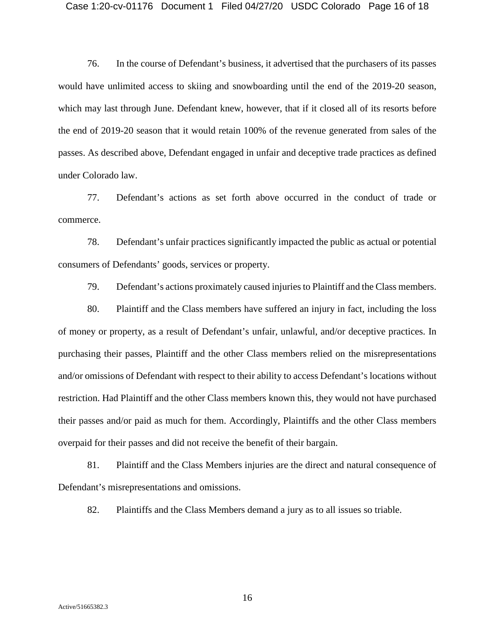### Case 1:20-cv-01176 Document 1 Filed 04/27/20 USDC Colorado Page 16 of 18

76. In the course of Defendant's business, it advertised that the purchasers of its passes would have unlimited access to skiing and snowboarding until the end of the 2019-20 season, which may last through June. Defendant knew, however, that if it closed all of its resorts before the end of 2019-20 season that it would retain 100% of the revenue generated from sales of the passes. As described above, Defendant engaged in unfair and deceptive trade practices as defined under Colorado law.

77. Defendant's actions as set forth above occurred in the conduct of trade or commerce.

78. Defendant's unfair practices significantly impacted the public as actual or potential consumers of Defendants' goods, services or property.

79. Defendant's actions proximately caused injuries to Plaintiff and the Class members.

80. Plaintiff and the Class members have suffered an injury in fact, including the loss of money or property, as a result of Defendant's unfair, unlawful, and/or deceptive practices. In purchasing their passes, Plaintiff and the other Class members relied on the misrepresentations and/or omissions of Defendant with respect to their ability to access Defendant's locations without restriction. Had Plaintiff and the other Class members known this, they would not have purchased their passes and/or paid as much for them. Accordingly, Plaintiffs and the other Class members overpaid for their passes and did not receive the benefit of their bargain.

81. Plaintiff and the Class Members injuries are the direct and natural consequence of Defendant's misrepresentations and omissions.

82. Plaintiffs and the Class Members demand a jury as to all issues so triable.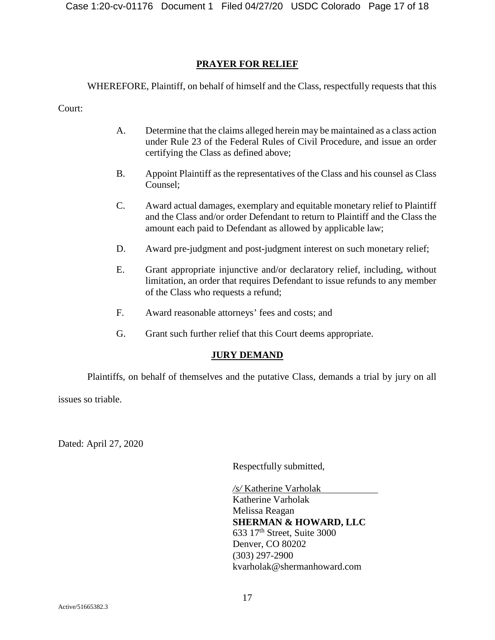### **PRAYER FOR RELIEF**

WHEREFORE, Plaintiff, on behalf of himself and the Class, respectfully requests that this

Court:

- A. Determine that the claims alleged herein may be maintained as a class action under Rule 23 of the Federal Rules of Civil Procedure, and issue an order certifying the Class as defined above;
- B. Appoint Plaintiff as the representatives of the Class and his counsel as Class Counsel;
- C. Award actual damages, exemplary and equitable monetary relief to Plaintiff and the Class and/or order Defendant to return to Plaintiff and the Class the amount each paid to Defendant as allowed by applicable law;
- D. Award pre-judgment and post-judgment interest on such monetary relief;
- E. Grant appropriate injunctive and/or declaratory relief, including, without limitation, an order that requires Defendant to issue refunds to any member of the Class who requests a refund;
- F. Award reasonable attorneys' fees and costs; and
- G. Grant such further relief that this Court deems appropriate.

### **JURY DEMAND**

Plaintiffs, on behalf of themselves and the putative Class, demands a trial by jury on all

issues so triable.

Dated: April 27, 2020

Respectfully submitted,

*/s/* Katherine Varholak Katherine Varholak Melissa Reagan **SHERMAN & HOWARD, LLC**  $633$  17<sup>th</sup> Street, Suite 3000 Denver, CO 80202 (303) 297-2900 kvarholak@shermanhoward.com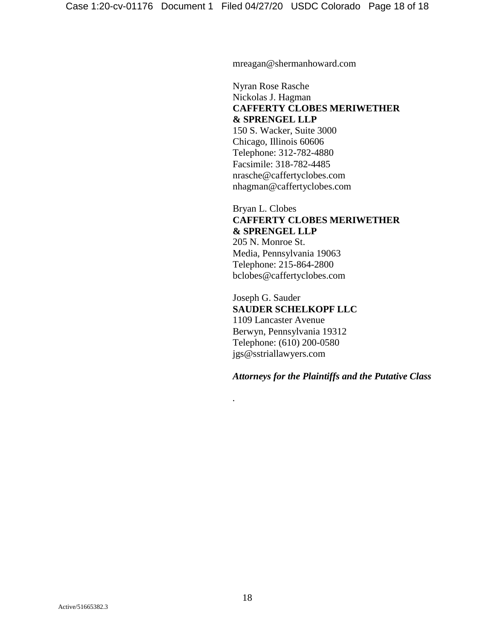mreagan@shermanhoward.com

Nyran Rose Rasche Nickolas J. Hagman **CAFFERTY CLOBES MERIWETHER & SPRENGEL LLP** 150 S. Wacker, Suite 3000 Chicago, Illinois 60606 Telephone: 312-782-4880 Facsimile: 318-782-4485 nrasche@caffertyclobes.com nhagman@caffertyclobes.com

Bryan L. Clobes **CAFFERTY CLOBES MERIWETHER & SPRENGEL LLP** 205 N. Monroe St. Media, Pennsylvania 19063 Telephone: 215-864-2800 bclobes@caffertyclobes.com

Joseph G. Sauder **SAUDER SCHELKOPF LLC** 1109 Lancaster Avenue Berwyn, Pennsylvania 19312 Telephone: (610) 200-0580 jgs@sstriallawyers.com

*Attorneys for the Plaintiffs and the Putative Class*

*.*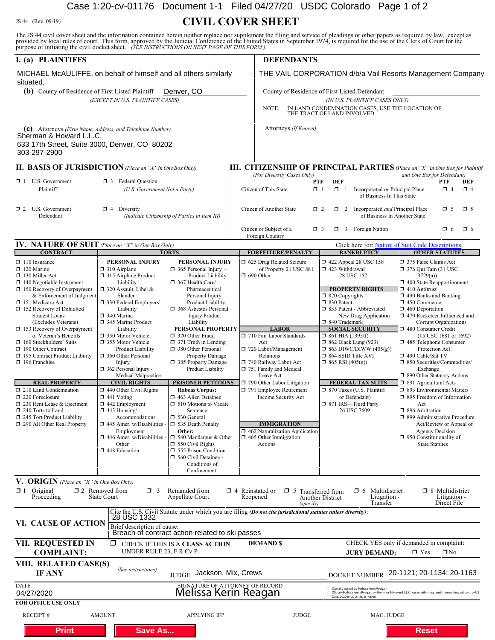## Case 1:20-cv-01176 Document 1-1 Filed 04/27/20 USDC Colorado Page 1 of 2

JS 44 (Rev. 09/19) **CIVIL COVER SHEET**

The JS 44 civil cover sheet and the information contained herein neither replace nor supplement the filing and service of pleadings or other papers as required by law, except as provided by local rules of court. This form,

| purpose of initiating the civil docket sheet. (SEE INSTRUCTIONS ON NEXT PAGE OF THIS PORM.)                                                                                                                                                                                                                                                                                                                                                                                                                                                                                                                                                   |                                                                                                                                                                                                                                                                                                                                                                                                                                                                                                                                                                                                                                                          |                                                                                                                                                                                                                                                                                                                                                                                                                                                                                                                                                                                                                                                                                                                                 |                                                                                                                                                                                                                                                                                                                                                                                                                                                         |                                                                                                                                                                                                                                                                                                                                                                                                                                                                                                                             |                                                                                                                                                                                                                                                                                                                                                                                                                                                                                                                                                                                                                                                                                                                                                               |  |  |  |
|-----------------------------------------------------------------------------------------------------------------------------------------------------------------------------------------------------------------------------------------------------------------------------------------------------------------------------------------------------------------------------------------------------------------------------------------------------------------------------------------------------------------------------------------------------------------------------------------------------------------------------------------------|----------------------------------------------------------------------------------------------------------------------------------------------------------------------------------------------------------------------------------------------------------------------------------------------------------------------------------------------------------------------------------------------------------------------------------------------------------------------------------------------------------------------------------------------------------------------------------------------------------------------------------------------------------|---------------------------------------------------------------------------------------------------------------------------------------------------------------------------------------------------------------------------------------------------------------------------------------------------------------------------------------------------------------------------------------------------------------------------------------------------------------------------------------------------------------------------------------------------------------------------------------------------------------------------------------------------------------------------------------------------------------------------------|---------------------------------------------------------------------------------------------------------------------------------------------------------------------------------------------------------------------------------------------------------------------------------------------------------------------------------------------------------------------------------------------------------------------------------------------------------|-----------------------------------------------------------------------------------------------------------------------------------------------------------------------------------------------------------------------------------------------------------------------------------------------------------------------------------------------------------------------------------------------------------------------------------------------------------------------------------------------------------------------------|---------------------------------------------------------------------------------------------------------------------------------------------------------------------------------------------------------------------------------------------------------------------------------------------------------------------------------------------------------------------------------------------------------------------------------------------------------------------------------------------------------------------------------------------------------------------------------------------------------------------------------------------------------------------------------------------------------------------------------------------------------------|--|--|--|
| I. (a) PLAINTIFFS                                                                                                                                                                                                                                                                                                                                                                                                                                                                                                                                                                                                                             |                                                                                                                                                                                                                                                                                                                                                                                                                                                                                                                                                                                                                                                          |                                                                                                                                                                                                                                                                                                                                                                                                                                                                                                                                                                                                                                                                                                                                 | <b>DEFENDANTS</b>                                                                                                                                                                                                                                                                                                                                                                                                                                       |                                                                                                                                                                                                                                                                                                                                                                                                                                                                                                                             |                                                                                                                                                                                                                                                                                                                                                                                                                                                                                                                                                                                                                                                                                                                                                               |  |  |  |
| MICHAEL McAULIFFE, on behalf of himself and all others similarly<br>situated,                                                                                                                                                                                                                                                                                                                                                                                                                                                                                                                                                                 |                                                                                                                                                                                                                                                                                                                                                                                                                                                                                                                                                                                                                                                          |                                                                                                                                                                                                                                                                                                                                                                                                                                                                                                                                                                                                                                                                                                                                 | THE VAIL CORPORATION d/b/a Vail Resorts Management Company<br>County of Residence of First Listed Defendant<br>(IN U.S. PLAINTIFF CASES ONLY)<br>IN LAND CONDEMNATION CASES, USE THE LOCATION OF<br>NOTE:<br>THE TRACT OF LAND INVOLVED.<br>Attorneys (If Known)                                                                                                                                                                                        |                                                                                                                                                                                                                                                                                                                                                                                                                                                                                                                             |                                                                                                                                                                                                                                                                                                                                                                                                                                                                                                                                                                                                                                                                                                                                                               |  |  |  |
| (b) County of Residence of First Listed Plaintiff                                                                                                                                                                                                                                                                                                                                                                                                                                                                                                                                                                                             | (EXCEPT IN U.S. PLAINTIFF CASES)                                                                                                                                                                                                                                                                                                                                                                                                                                                                                                                                                                                                                         | Denver, CO                                                                                                                                                                                                                                                                                                                                                                                                                                                                                                                                                                                                                                                                                                                      |                                                                                                                                                                                                                                                                                                                                                                                                                                                         |                                                                                                                                                                                                                                                                                                                                                                                                                                                                                                                             |                                                                                                                                                                                                                                                                                                                                                                                                                                                                                                                                                                                                                                                                                                                                                               |  |  |  |
| (c) Attorneys (Firm Name, Address, and Telephone Number)<br>Sherman & Howard L.L.C.<br>633 17th Street, Suite 3000, Denver, CO 80202<br>303-297-2900                                                                                                                                                                                                                                                                                                                                                                                                                                                                                          |                                                                                                                                                                                                                                                                                                                                                                                                                                                                                                                                                                                                                                                          |                                                                                                                                                                                                                                                                                                                                                                                                                                                                                                                                                                                                                                                                                                                                 |                                                                                                                                                                                                                                                                                                                                                                                                                                                         |                                                                                                                                                                                                                                                                                                                                                                                                                                                                                                                             |                                                                                                                                                                                                                                                                                                                                                                                                                                                                                                                                                                                                                                                                                                                                                               |  |  |  |
| <b>II. BASIS OF JURISDICTION</b> (Place an "X" in One Box Only)                                                                                                                                                                                                                                                                                                                                                                                                                                                                                                                                                                               |                                                                                                                                                                                                                                                                                                                                                                                                                                                                                                                                                                                                                                                          |                                                                                                                                                                                                                                                                                                                                                                                                                                                                                                                                                                                                                                                                                                                                 |                                                                                                                                                                                                                                                                                                                                                                                                                                                         |                                                                                                                                                                                                                                                                                                                                                                                                                                                                                                                             | <b>III. CITIZENSHIP OF PRINCIPAL PARTIES</b> (Place an "X" in One Box for Plaintiff                                                                                                                                                                                                                                                                                                                                                                                                                                                                                                                                                                                                                                                                           |  |  |  |
| $\Box$ 1 U.S. Government<br>Plaintiff                                                                                                                                                                                                                                                                                                                                                                                                                                                                                                                                                                                                         | <b>3</b> Federal Question<br>(U.S. Government Not a Party)                                                                                                                                                                                                                                                                                                                                                                                                                                                                                                                                                                                               |                                                                                                                                                                                                                                                                                                                                                                                                                                                                                                                                                                                                                                                                                                                                 | (For Diversity Cases Only)<br>and One Box for Defendant)<br><b>DEF</b><br>PTF<br>PTF<br>DEF<br>Citizen of This State<br>$\mathbf{X}$ 1<br>$\Box$ 1 Incorporated or Principal Place<br>$\Box$ 4<br>$\mathbf{X}$ 4<br>of Business In This State                                                                                                                                                                                                           |                                                                                                                                                                                                                                                                                                                                                                                                                                                                                                                             |                                                                                                                                                                                                                                                                                                                                                                                                                                                                                                                                                                                                                                                                                                                                                               |  |  |  |
| $\Box$ 2 U.S. Government<br>$\mathbf{\times}$ 4 Diversity<br>Defendant                                                                                                                                                                                                                                                                                                                                                                                                                                                                                                                                                                        |                                                                                                                                                                                                                                                                                                                                                                                                                                                                                                                                                                                                                                                          | (Indicate Citizenship of Parties in Item III)                                                                                                                                                                                                                                                                                                                                                                                                                                                                                                                                                                                                                                                                                   | Citizen of Another State                                                                                                                                                                                                                                                                                                                                                                                                                                | $\Box$ 2<br>$\Box$ 2 Incorporated <i>and</i> Principal Place                                                                                                                                                                                                                                                                                                                                                                                                                                                                | $\Box$ 5<br>$\Box$ 5<br>of Business In Another State                                                                                                                                                                                                                                                                                                                                                                                                                                                                                                                                                                                                                                                                                                          |  |  |  |
|                                                                                                                                                                                                                                                                                                                                                                                                                                                                                                                                                                                                                                               |                                                                                                                                                                                                                                                                                                                                                                                                                                                                                                                                                                                                                                                          |                                                                                                                                                                                                                                                                                                                                                                                                                                                                                                                                                                                                                                                                                                                                 | Citizen or Subject of a<br>Foreign Country                                                                                                                                                                                                                                                                                                                                                                                                              | <b>1</b> 3 Foreign Nation<br>$\Box$ 3                                                                                                                                                                                                                                                                                                                                                                                                                                                                                       | $\Box$ 6<br>$\Box$ 6                                                                                                                                                                                                                                                                                                                                                                                                                                                                                                                                                                                                                                                                                                                                          |  |  |  |
| <b>IV. NATURE OF SUIT</b> (Place an "X" in One Box Only)                                                                                                                                                                                                                                                                                                                                                                                                                                                                                                                                                                                      |                                                                                                                                                                                                                                                                                                                                                                                                                                                                                                                                                                                                                                                          |                                                                                                                                                                                                                                                                                                                                                                                                                                                                                                                                                                                                                                                                                                                                 |                                                                                                                                                                                                                                                                                                                                                                                                                                                         |                                                                                                                                                                                                                                                                                                                                                                                                                                                                                                                             | Click here for: Nature of Suit Code Descriptions.                                                                                                                                                                                                                                                                                                                                                                                                                                                                                                                                                                                                                                                                                                             |  |  |  |
| <b>CONTRACT</b><br>$\Box$ 110 Insurance<br>$\Box$ 120 Marine<br>130 Miller Act<br>$\Box$ 140 Negotiable Instrument<br>150 Recovery of Overpayment<br>& Enforcement of Judgment<br>151 Medicare Act<br>152 Recovery of Defaulted<br><b>Student Loans</b><br>(Excludes Veterans)<br>153 Recovery of Overpayment<br>of Veteran's Benefits<br>160 Stockholders' Suits<br>X 190 Other Contract<br>□ 195 Contract Product Liability<br>$\Box$ 196 Franchise<br><b>REAL PROPERTY</b><br>210 Land Condemnation<br>220 Foreclosure<br>□ 230 Rent Lease & Ejectment<br>240 Torts to Land<br>245 Tort Product Liability<br>□ 290 All Other Real Property | PERSONAL INJURY<br>$\Box$ 310 Airplane<br>315 Airplane Product<br>Liability<br>$\Box$ 320 Assault, Libel &<br>Slander<br>□ 330 Federal Employers'<br>Liability<br>$\Box$ 340 Marine<br>345 Marine Product<br>Liability<br>□ 350 Motor Vehicle<br>□ 355 Motor Vehicle<br><b>Product Liability</b><br>□ 360 Other Personal<br>Injury<br>$\Box$ 362 Personal Injury -<br>Medical Malpractice<br><b>CIVIL RIGHTS</b><br>$\Box$ 440 Other Civil Rights<br>$\Box$ 441 Voting<br>$\Box$ 442 Employment<br>$\Box$ 443 Housing/<br>Accommodations<br>$\Box$ 445 Amer. w/Disabilities<br>Employment<br>$\Box$ 446 Amer. w/Disabilities -<br>Other<br>448 Education | <b>TORTS</b><br>PERSONAL INJURY<br>$\Box$ 365 Personal Injury -<br>Product Liability<br>367 Health Care/<br>Pharmaceutical<br>Personal Injury<br><b>Product Liability</b><br><b>1</b> 368 Asbestos Personal<br><b>Injury Product</b><br>Liability<br>PERSONAL PROPERTY<br>370 Other Fraud<br>$\Box$ 371 Truth in Lending<br>380 Other Personal<br><b>Property Damage</b><br>□ 385 Property Damage<br>Product Liability<br>PRISONER PETITIONS<br><b>Habeas Corpus:</b><br>463 Alien Detainee<br>$\Box$ 510 Motions to Vacate<br>Sentence<br>530 General<br>535 Death Penalty<br>Other:<br>$\Box$ 540 Mandamus & Other<br>$\Box$ 550 Civil Rights<br>555 Prison Condition<br>560 Civil Detainee -<br>Conditions of<br>Confinement | <b>FORFEITURE/PENALTY</b><br>□ 625 Drug Related Seizure<br>of Property 21 USC 881<br>$\Box$ 690 Other<br><b>LABOR</b><br>710 Fair Labor Standards<br>Act<br>720 Labor/Management<br>Relations<br>740 Railway Labor Act<br>751 Family and Medical<br>Leave Act<br>790 Other Labor Litigation<br>791 Employee Retirement<br>Income Security Act<br><b>IMMIGRATION</b><br>$\Box$ 462 Naturalization Application<br>$\Box$ 465 Other Immigration<br>Actions | <b>BANKRUPTCY</b><br>$\Box$ 422 Appeal 28 USC 158<br>423 Withdrawal<br>28 USC 157<br><b>PROPERTY RIGHTS</b><br>□ 820 Copyrights<br>□ 830 Patent<br>□ 835 Patent - Abbreviated<br>New Drug Application<br>□ 840 Trademark<br><b>SOCIAL SECURITY</b><br>$\Box$ 861 HIA (1395ff)<br><b>1</b> 862 Black Lung (923)<br>$\Box$ 863 DIWC/DIWW (405(g))<br>$\Box$ 864 SSID Title XVI<br>$\Box$ 865 RSI (405(g))<br><b>FEDERAL TAX SUITS</b><br>□ 870 Taxes (U.S. Plaintiff<br>or Defendant)<br>□ 871 IRS-Third Party<br>26 USC 7609 | <b>OTHER STATUTES</b><br>375 False Claims Act<br>□ 376 Qui Tam (31 USC<br>3729(a)<br>1 400 State Reapportionment<br>$\Box$ 410 Antitrust<br>$\Box$ 430 Banks and Banking<br>$\Box$ 450 Commerce<br>$\Box$ 460 Deportation<br>□ 470 Racketeer Influenced and<br>Corrupt Organizations<br>□ 480 Consumer Credit<br>(15 USC 1681 or 1692)<br>485 Telephone Consumer<br>Protection Act<br>□ 490 Cable/Sat TV<br>□ 850 Securities/Commodities/<br>Exchange<br>□ 890 Other Statutory Actions<br>□ 891 Agricultural Acts<br>□ 893 Environmental Matters<br>□ 895 Freedom of Information<br>Act<br>$\Box$ 896 Arbitration<br>□ 899 Administrative Procedure<br>Act/Review or Appeal of<br>Agency Decision<br>$\Box$ 950 Constitutionality of<br><b>State Statutes</b> |  |  |  |
| <b>V. ORIGIN</b> (Place an "X" in One Box Only)<br>$\mathbf{X}$ 1 Original<br>Proceeding                                                                                                                                                                                                                                                                                                                                                                                                                                                                                                                                                      | $\square$ 2 Removed from<br>$\Box$ 3<br><b>State Court</b>                                                                                                                                                                                                                                                                                                                                                                                                                                                                                                                                                                                               | Remanded from<br>Appellate Court                                                                                                                                                                                                                                                                                                                                                                                                                                                                                                                                                                                                                                                                                                | $\Box$ 4 Reinstated or<br>Reopened                                                                                                                                                                                                                                                                                                                                                                                                                      | $\Box$ 6 Multidistrict<br>$\Box$ 5 Transferred from<br>Litigation -<br>Another District<br>Transfer<br>(specify)                                                                                                                                                                                                                                                                                                                                                                                                            | $\Box$ 8 Multidistrict<br>Litigation -<br>Direct File                                                                                                                                                                                                                                                                                                                                                                                                                                                                                                                                                                                                                                                                                                         |  |  |  |
|                                                                                                                                                                                                                                                                                                                                                                                                                                                                                                                                                                                                                                               | 28 USC 1332                                                                                                                                                                                                                                                                                                                                                                                                                                                                                                                                                                                                                                              |                                                                                                                                                                                                                                                                                                                                                                                                                                                                                                                                                                                                                                                                                                                                 | Cite the U.S. Civil Statute under which you are filing (Do not cite jurisdictional statutes unless diversity):                                                                                                                                                                                                                                                                                                                                          |                                                                                                                                                                                                                                                                                                                                                                                                                                                                                                                             |                                                                                                                                                                                                                                                                                                                                                                                                                                                                                                                                                                                                                                                                                                                                                               |  |  |  |
| VI. CAUSE OF ACTION                                                                                                                                                                                                                                                                                                                                                                                                                                                                                                                                                                                                                           | Brief description of cause:                                                                                                                                                                                                                                                                                                                                                                                                                                                                                                                                                                                                                              | Breach of contract action related to ski passes                                                                                                                                                                                                                                                                                                                                                                                                                                                                                                                                                                                                                                                                                 |                                                                                                                                                                                                                                                                                                                                                                                                                                                         |                                                                                                                                                                                                                                                                                                                                                                                                                                                                                                                             |                                                                                                                                                                                                                                                                                                                                                                                                                                                                                                                                                                                                                                                                                                                                                               |  |  |  |
| <b>VII. REQUESTED IN</b><br><b>COMPLAINT:</b>                                                                                                                                                                                                                                                                                                                                                                                                                                                                                                                                                                                                 | ⊠<br>UNDER RULE 23, F.R.Cv.P.                                                                                                                                                                                                                                                                                                                                                                                                                                                                                                                                                                                                                            | CHECK IF THIS IS A CLASS ACTION                                                                                                                                                                                                                                                                                                                                                                                                                                                                                                                                                                                                                                                                                                 | <b>DEMAND \$</b>                                                                                                                                                                                                                                                                                                                                                                                                                                        | <b>JURY DEMAND:</b>                                                                                                                                                                                                                                                                                                                                                                                                                                                                                                         | CHECK YES only if demanded in complaint:<br><b>X</b> Yes<br>$\Box$ No                                                                                                                                                                                                                                                                                                                                                                                                                                                                                                                                                                                                                                                                                         |  |  |  |
| VIII. RELATED CASE(S)<br><b>IF ANY</b>                                                                                                                                                                                                                                                                                                                                                                                                                                                                                                                                                                                                        | (See instructions):                                                                                                                                                                                                                                                                                                                                                                                                                                                                                                                                                                                                                                      | Jackson, Mix, Crews<br>$J\ensuremath{\mathsf{U}}\ensuremath{\mathsf{D}}\ensuremath{\mathsf{G}}\ensuremath{\mathsf{E}}$                                                                                                                                                                                                                                                                                                                                                                                                                                                                                                                                                                                                          |                                                                                                                                                                                                                                                                                                                                                                                                                                                         | <b>DOCKET NUMBER</b>                                                                                                                                                                                                                                                                                                                                                                                                                                                                                                        | 20-1121; 20-1134; 20-1163                                                                                                                                                                                                                                                                                                                                                                                                                                                                                                                                                                                                                                                                                                                                     |  |  |  |
| <b>DATE</b><br>04/27/2020                                                                                                                                                                                                                                                                                                                                                                                                                                                                                                                                                                                                                     |                                                                                                                                                                                                                                                                                                                                                                                                                                                                                                                                                                                                                                                          | SIGNATURE OF ATTORNEY OF RECORD                                                                                                                                                                                                                                                                                                                                                                                                                                                                                                                                                                                                                                                                                                 |                                                                                                                                                                                                                                                                                                                                                                                                                                                         | Digitally signed by Melissa Kerin Reagan<br>Date: 2020.04.27 21:38:35 -06'00'                                                                                                                                                                                                                                                                                                                                                                                                                                               | DN: cn=Melissa Kerin Reagan, o=Sherman & Howard L.L.C., ou, email=mreagan@shermanhoward.com, c=US                                                                                                                                                                                                                                                                                                                                                                                                                                                                                                                                                                                                                                                             |  |  |  |
| <b>FOR OFFICE USE ONLY</b><br><b>RECEIPT#</b>                                                                                                                                                                                                                                                                                                                                                                                                                                                                                                                                                                                                 | <b>AMOUNT</b>                                                                                                                                                                                                                                                                                                                                                                                                                                                                                                                                                                                                                                            | <b>APPLYING IFP</b>                                                                                                                                                                                                                                                                                                                                                                                                                                                                                                                                                                                                                                                                                                             | <b>JUDGE</b>                                                                                                                                                                                                                                                                                                                                                                                                                                            | MAG. JUDGE                                                                                                                                                                                                                                                                                                                                                                                                                                                                                                                  |                                                                                                                                                                                                                                                                                                                                                                                                                                                                                                                                                                                                                                                                                                                                                               |  |  |  |
| <b>Print</b>                                                                                                                                                                                                                                                                                                                                                                                                                                                                                                                                                                                                                                  | <b>Save As</b>                                                                                                                                                                                                                                                                                                                                                                                                                                                                                                                                                                                                                                           |                                                                                                                                                                                                                                                                                                                                                                                                                                                                                                                                                                                                                                                                                                                                 |                                                                                                                                                                                                                                                                                                                                                                                                                                                         |                                                                                                                                                                                                                                                                                                                                                                                                                                                                                                                             | <b>Reset</b>                                                                                                                                                                                                                                                                                                                                                                                                                                                                                                                                                                                                                                                                                                                                                  |  |  |  |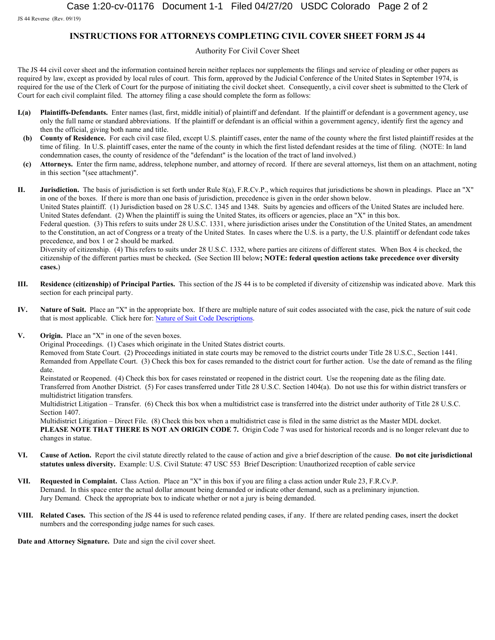JS 44 Reverse (Rev. 09/19)

### **INSTRUCTIONS FOR ATTORNEYS COMPLETING CIVIL COVER SHEET FORM JS 44**

#### Authority For Civil Cover Sheet

The JS 44 civil cover sheet and the information contained herein neither replaces nor supplements the filings and service of pleading or other papers as required by law, except as provided by local rules of court. This form, approved by the Judicial Conference of the United States in September 1974, is required for the use of the Clerk of Court for the purpose of initiating the civil docket sheet. Consequently, a civil cover sheet is submitted to the Clerk of Court for each civil complaint filed. The attorney filing a case should complete the form as follows:

- **I.(a) Plaintiffs-Defendants.** Enter names (last, first, middle initial) of plaintiff and defendant. If the plaintiff or defendant is a government agency, use only the full name or standard abbreviations. If the plaintiff or defendant is an official within a government agency, identify first the agency and then the official, giving both name and title.
- **(b) County of Residence.** For each civil case filed, except U.S. plaintiff cases, enter the name of the county where the first listed plaintiff resides at the time of filing. In U.S. plaintiff cases, enter the name of the county in which the first listed defendant resides at the time of filing. (NOTE: In land condemnation cases, the county of residence of the "defendant" is the location of the tract of land involved.)
- **(c) Attorneys.** Enter the firm name, address, telephone number, and attorney of record. If there are several attorneys, list them on an attachment, noting in this section "(see attachment)".

**II. Jurisdiction.** The basis of jurisdiction is set forth under Rule 8(a), F.R.Cv.P., which requires that jurisdictions be shown in pleadings. Place an "X" in one of the boxes. If there is more than one basis of jurisdiction, precedence is given in the order shown below.

United States plaintiff. (1) Jurisdiction based on 28 U.S.C. 1345 and 1348. Suits by agencies and officers of the United States are included here. United States defendant. (2) When the plaintiff is suing the United States, its officers or agencies, place an "X" in this box.

Federal question. (3) This refers to suits under 28 U.S.C. 1331, where jurisdiction arises under the Constitution of the United States, an amendment to the Constitution, an act of Congress or a treaty of the United States. In cases where the U.S. is a party, the U.S. plaintiff or defendant code takes precedence, and box 1 or 2 should be marked.

Diversity of citizenship. (4) This refers to suits under 28 U.S.C. 1332, where parties are citizens of different states. When Box 4 is checked, the citizenship of the different parties must be checked**.** (See Section III below**; NOTE: federal question actions take precedence over diversity cases.**)

- **III. Residence (citizenship) of Principal Parties.** This section of the JS 44 is to be completed if diversity of citizenship was indicated above. Mark this section for each principal party.
- **IV. Nature of Suit.** Place an "X" in the appropriate box. If there are multiple nature of suit codes associated with the case, pick the nature of suit code that is most applicable. Click here for[: Nature of Suit Code Descriptions](http://www.uscourts.gov/forms/civil-forms/civil-cover-sheet).
- **V. Origin.** Place an "X" in one of the seven boxes.

Original Proceedings. (1) Cases which originate in the United States district courts.

Removed from State Court. (2) Proceedings initiated in state courts may be removed to the district courts under Title 28 U.S.C., Section 1441. Remanded from Appellate Court. (3) Check this box for cases remanded to the district court for further action. Use the date of remand as the filing date.

Reinstated or Reopened. (4) Check this box for cases reinstated or reopened in the district court. Use the reopening date as the filing date. Transferred from Another District. (5) For cases transferred under Title 28 U.S.C. Section 1404(a). Do not use this for within district transfers or multidistrict litigation transfers.

Multidistrict Litigation – Transfer. (6) Check this box when a multidistrict case is transferred into the district under authority of Title 28 U.S.C. Section 1407.

Multidistrict Litigation – Direct File. (8) Check this box when a multidistrict case is filed in the same district as the Master MDL docket. **PLEASE NOTE THAT THERE IS NOT AN ORIGIN CODE 7.** Origin Code 7 was used for historical records and is no longer relevant due to changes in statue.

- **VI. Cause of Action.** Report the civil statute directly related to the cause of action and give a brief description of the cause. **Do not cite jurisdictional statutes unless diversity.** Example: U.S. Civil Statute: 47 USC 553 Brief Description: Unauthorized reception of cable service
- **VII. Requested in Complaint.** Class Action. Place an "X" in this box if you are filing a class action under Rule 23, F.R.Cv.P. Demand. In this space enter the actual dollar amount being demanded or indicate other demand, such as a preliminary injunction. Jury Demand. Check the appropriate box to indicate whether or not a jury is being demanded.
- **VIII. Related Cases.** This section of the JS 44 is used to reference related pending cases, if any. If there are related pending cases, insert the docket numbers and the corresponding judge names for such cases.

**Date and Attorney Signature.** Date and sign the civil cover sheet.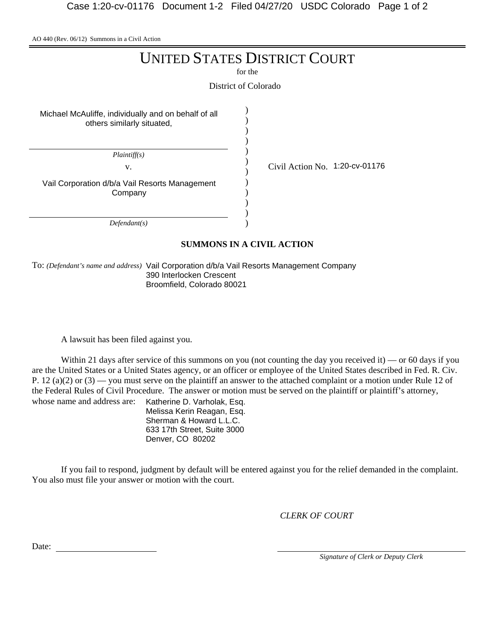AO 440 (Rev. 06/12) Summons in a Civil Action

# UNITED STATES DISTRICT COURT

for the

District of Colorado

) ) ) ) ) ) ) ) ) ) ) )

Michael McAuliffe, individually and on behalf of all others similarly situated,

*Plaintiff(s)*

Vail Corporation d/b/a Vail Resorts Management Company

*Defendant(s)*

v. Civil Action No. 1:20-cv-01176

**SUMMONS IN A CIVIL ACTION**

To: *(Defendant's name and address)* Vail Corporation d/b/a Vail Resorts Management Company 390 Interlocken Crescent Broomfield, Colorado 80021

A lawsuit has been filed against you.

Within 21 days after service of this summons on you (not counting the day you received it) — or 60 days if you are the United States or a United States agency, or an officer or employee of the United States described in Fed. R. Civ. P. 12 (a)(2) or  $(3)$  — you must serve on the plaintiff an answer to the attached complaint or a motion under Rule 12 of the Federal Rules of Civil Procedure. The answer or motion must be served on the plaintiff or plaintiff's attorney, whose name and address are: Katherine D. Varholak, Esq.

Melissa Kerin Reagan, Esq. Sherman & Howard L.L.C. 633 17th Street, Suite 3000 Denver, CO 80202

If you fail to respond, judgment by default will be entered against you for the relief demanded in the complaint. You also must file your answer or motion with the court.

*CLERK OF COURT*

Date:

*Signature of Clerk or Deputy Clerk*